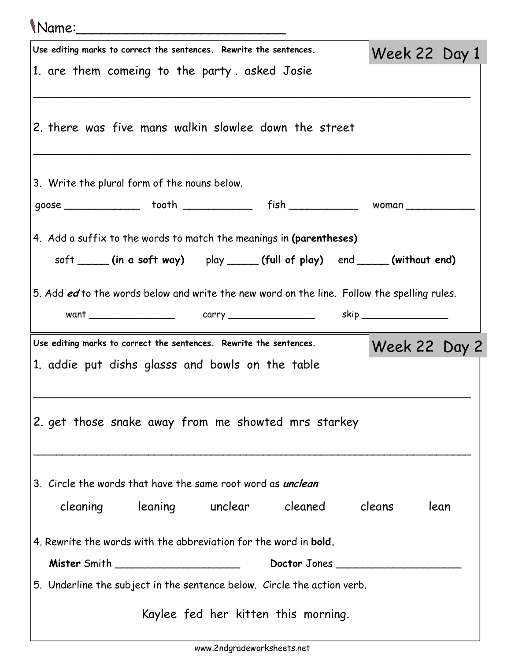| <i>Name:</i>                                                                                                                                    |               |      |
|-------------------------------------------------------------------------------------------------------------------------------------------------|---------------|------|
| Use editing marks to correct the sentences. Rewrite the sentences.                                                                              | Week 22 Day 1 |      |
| 1. are them comeing to the party asked Josie                                                                                                    |               |      |
| 2. there was five mans walkin slowlee down the street                                                                                           |               |      |
| 3. Write the plural form of the nouns below.                                                                                                    |               |      |
|                                                                                                                                                 |               |      |
| 4. Add a suffix to the words to match the meanings in (parentheses)<br>soft _____(in a soft way) play _____(full of play) end ____(without end) |               |      |
| 5. Add ed to the words below and write the new word on the line. Follow the spelling rules.                                                     |               |      |
| Use editing marks to correct the sentences. Rewrite the sentences.                                                                              | Week 22 Day 2 |      |
| 1. addie put dishs glasss and bowls on the table                                                                                                |               |      |
| 2. get those snake away from me showted mrs starkey                                                                                             |               |      |
| 3. Circle the words that have the same root word as <i>unclean</i>                                                                              |               |      |
| cleaning leaning unclear cleaned cleans                                                                                                         |               | lean |
| 4. Rewrite the words with the abbreviation for the word in <b>bold</b> .                                                                        |               |      |
| Doctor Jones                                                                                                                                    |               |      |
| 5. Underline the subject in the sentence below. Circle the action verb.                                                                         |               |      |
| Kaylee fed her kitten this morning.                                                                                                             |               |      |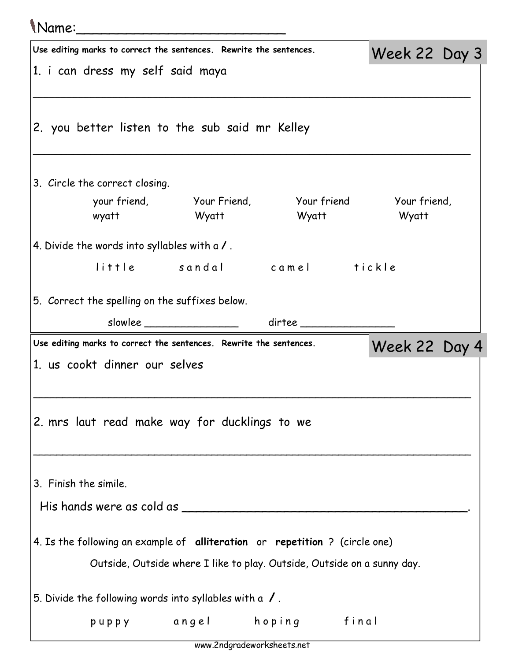## Name:\_\_\_\_\_\_\_\_\_\_\_\_\_\_\_\_\_\_\_\_\_\_\_\_\_

| Use editing marks to correct the sentences. Rewrite the sentences.          |                              |                                                                         | Week 22 Day 3 |  |  |
|-----------------------------------------------------------------------------|------------------------------|-------------------------------------------------------------------------|---------------|--|--|
| 1. i can dress my self said maya                                            |                              |                                                                         |               |  |  |
|                                                                             |                              |                                                                         |               |  |  |
| 2. you better listen to the sub said mr Kelley                              |                              |                                                                         |               |  |  |
| 3. Circle the correct closing.                                              |                              |                                                                         |               |  |  |
|                                                                             |                              | your friend, Your Friend, Your friend Your friend,                      |               |  |  |
| wyatt                                                                       | <b>Example 18 Wyatt</b>      | Wyatt                                                                   | Wyatt         |  |  |
| 4. Divide the words into syllables with a /.                                |                              |                                                                         |               |  |  |
|                                                                             |                              | little sandal camel tickle                                              |               |  |  |
| 5. Correct the spelling on the suffixes below.                              |                              |                                                                         |               |  |  |
|                                                                             | slowlee ____________________ |                                                                         |               |  |  |
| Use editing marks to correct the sentences. Rewrite the sentences.          |                              |                                                                         | Week 22 Day 4 |  |  |
| 1. us cookt dinner our selves                                               |                              |                                                                         |               |  |  |
|                                                                             |                              |                                                                         |               |  |  |
|                                                                             |                              |                                                                         |               |  |  |
| 2. mrs laut read make way for ducklings to we                               |                              |                                                                         |               |  |  |
|                                                                             |                              |                                                                         |               |  |  |
|                                                                             |                              |                                                                         |               |  |  |
| 3. Finish the simile.                                                       |                              |                                                                         |               |  |  |
| His hands were as cold as _____                                             |                              |                                                                         |               |  |  |
|                                                                             |                              |                                                                         |               |  |  |
| 4. Is the following an example of alliteration or repetition ? (circle one) |                              |                                                                         |               |  |  |
|                                                                             |                              | Outside, Outside where I like to play. Outside, Outside on a sunny day. |               |  |  |
| 5. Divide the following words into syllables with a $\sqrt{ }$ .            |                              |                                                                         |               |  |  |